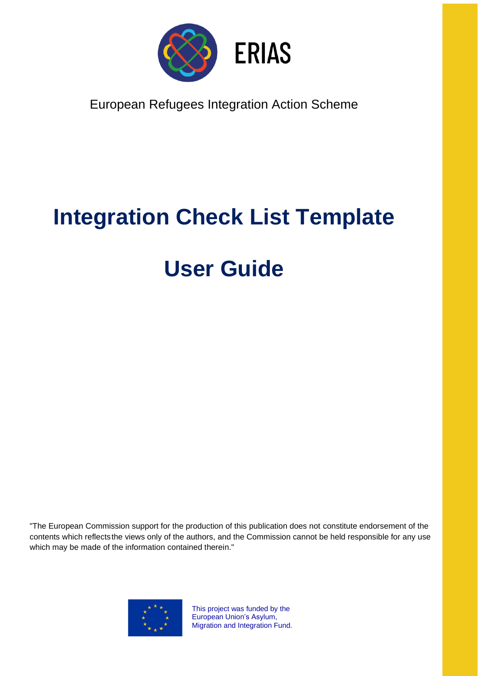

European Refugees Integration Action Scheme

# **Integration Check List Template**

# **User Guide**

"The European Commission support for the production of this publication does not constitute endorsement of the contents which reflectsthe views only of the authors, and the Commission cannot be held responsible for any use which may be made of the information contained therein."



This project was funded by the European Union's Asylum, Migration and Integration Fund.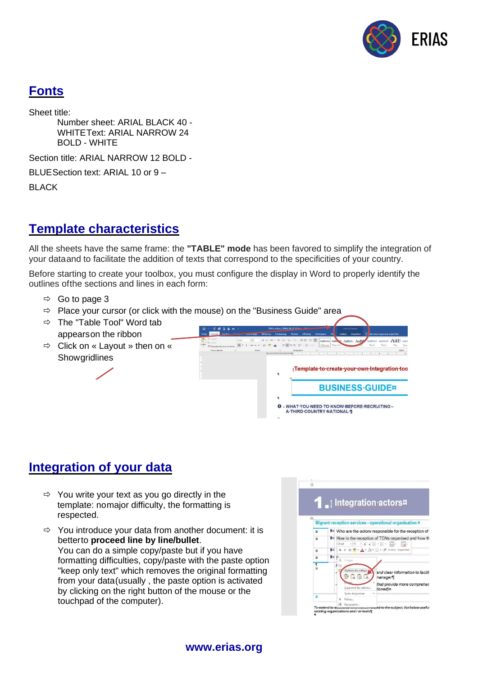

## **Fonts**

Sheet title:

Number sheet: ARIAL BLACK 40 - WHITEText: ARIAL NARROW 24 BOLD - WHITE

Section title: ARIAL NARROW 12 BOLD -

BLUESection text: ARIAL 10 or 9 –

BLACK

### **Template characteristics**

All the sheets have the same frame: the **"TABLE" mode** has been favored to simplify the integration of your dataand to facilitate the addition of texts that correspond to the specificities of your country.

Before starting to create your toolbox, you must configure the display in Word to properly identify the outlines ofthe sections and lines in each form:

- $\Rightarrow$  Go to page 3
- $\Rightarrow$  Place your cursor (or click with the mouse) on the "Business Guide" area
- $\Rightarrow$  The "Table Tool" Word tab appearson the ribbon
- Click on « Layout » then on « **Showgridlines**



#### **Integration of your data**

- $\Rightarrow$  You write your text as you go directly in the template: nomajor difficulty, the formatting is respected.
- $\Rightarrow$  You introduce your data from another document: it is betterto **proceed line by line/bullet**. You can do a simple copy/paste but if you have formatting difficulties, copy/paste with the paste option "keep only text" which removes the original formatting from your data(usually , the paste option is activated by clicking on the right button of the mouse or the touchpad of the computer).



#### **www.erias.org**